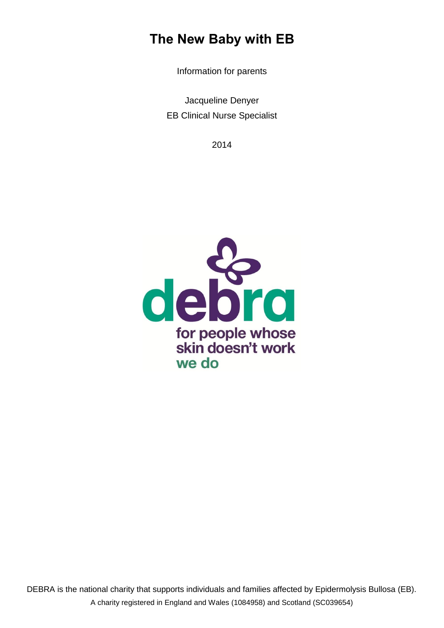# **The New Baby with EB**

Information for parents

Jacqueline Denyer EB Clinical Nurse Specialist

2014

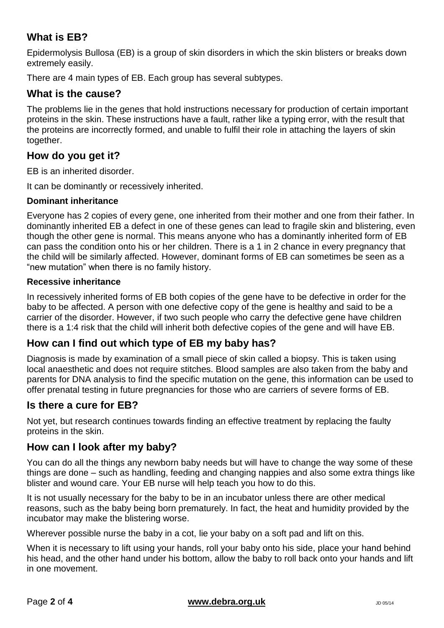# **What is EB?**

Epidermolysis Bullosa (EB) is a group of skin disorders in which the skin blisters or breaks down extremely easily.

There are 4 main types of EB. Each group has several subtypes.

### **What is the cause?**

The problems lie in the genes that hold instructions necessary for production of certain important proteins in the skin. These instructions have a fault, rather like a typing error, with the result that the proteins are incorrectly formed, and unable to fulfil their role in attaching the layers of skin together.

### **How do you get it?**

EB is an inherited disorder.

It can be dominantly or recessively inherited.

#### **Dominant inheritance**

Everyone has 2 copies of every gene, one inherited from their mother and one from their father. In dominantly inherited EB a defect in one of these genes can lead to fragile skin and blistering, even though the other gene is normal. This means anyone who has a dominantly inherited form of EB can pass the condition onto his or her children. There is a 1 in 2 chance in every pregnancy that the child will be similarly affected. However, dominant forms of EB can sometimes be seen as a "new mutation" when there is no family history.

#### **Recessive inheritance**

In recessively inherited forms of EB both copies of the gene have to be defective in order for the baby to be affected. A person with one defective copy of the gene is healthy and said to be a carrier of the disorder. However, if two such people who carry the defective gene have children there is a 1:4 risk that the child will inherit both defective copies of the gene and will have EB.

### **How can I find out which type of EB my baby has?**

Diagnosis is made by examination of a small piece of skin called a biopsy. This is taken using local anaesthetic and does not require stitches. Blood samples are also taken from the baby and parents for DNA analysis to find the specific mutation on the gene, this information can be used to offer prenatal testing in future pregnancies for those who are carriers of severe forms of EB.

### **Is there a cure for EB?**

Not yet, but research continues towards finding an effective treatment by replacing the faulty proteins in the skin.

### **How can I look after my baby?**

You can do all the things any newborn baby needs but will have to change the way some of these things are done – such as handling, feeding and changing nappies and also some extra things like blister and wound care. Your EB nurse will help teach you how to do this.

It is not usually necessary for the baby to be in an incubator unless there are other medical reasons, such as the baby being born prematurely. In fact, the heat and humidity provided by the incubator may make the blistering worse.

Wherever possible nurse the baby in a cot, lie your baby on a soft pad and lift on this.

When it is necessary to lift using your hands, roll your baby onto his side, place your hand behind his head, and the other hand under his bottom, allow the baby to roll back onto your hands and lift in one movement.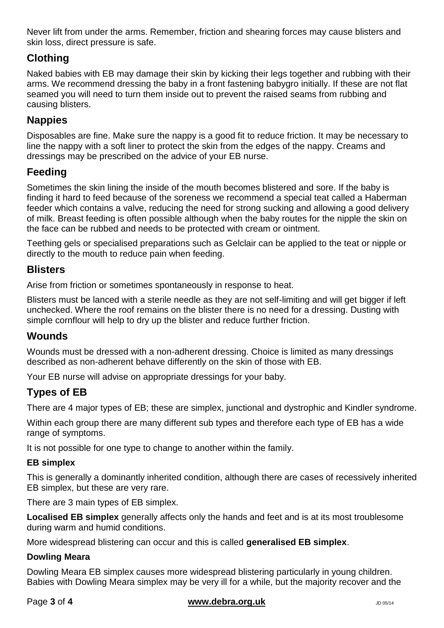Never lift from under the arms. Remember, friction and shearing forces may cause blisters and skin loss, direct pressure is safe.

# **Clothing**

Naked babies with EB may damage their skin by kicking their legs together and rubbing with their arms. We recommend dressing the baby in a front fastening babygro initially. If these are not flat seamed you will need to turn them inside out to prevent the raised seams from rubbing and causing blisters.

# **Nappies**

Disposables are fine. Make sure the nappy is a good fit to reduce friction. It may be necessary to line the nappy with a soft liner to protect the skin from the edges of the nappy. Creams and dressings may be prescribed on the advice of your EB nurse.

# **Feeding**

Sometimes the skin lining the inside of the mouth becomes blistered and sore. If the baby is finding it hard to feed because of the soreness we recommend a special teat called a Haberman feeder which contains a valve, reducing the need for strong sucking and allowing a good delivery of milk. Breast feeding is often possible although when the baby routes for the nipple the skin on the face can be rubbed and needs to be protected with cream or ointment.

Teething gels or specialised preparations such as Gelclair can be applied to the teat or nipple or directly to the mouth to reduce pain when feeding.

### **Blisters**

Arise from friction or sometimes spontaneously in response to heat.

Blisters must be lanced with a sterile needle as they are not self-limiting and will get bigger if left unchecked. Where the roof remains on the blister there is no need for a dressing. Dusting with simple cornflour will help to dry up the blister and reduce further friction.

### **Wounds**

Wounds must be dressed with a non-adherent dressing. Choice is limited as many dressings described as non-adherent behave differently on the skin of those with EB.

Your EB nurse will advise on appropriate dressings for your baby.

### **Types of EB**

There are 4 major types of EB; these are simplex, junctional and dystrophic and Kindler syndrome.

Within each group there are many different sub types and therefore each type of EB has a wide range of symptoms.

It is not possible for one type to change to another within the family.

#### **EB simplex**

This is generally a dominantly inherited condition, although there are cases of recessively inherited EB simplex, but these are very rare.

There are 3 main types of EB simplex.

**Localised EB simplex** generally affects only the hands and feet and is at its most troublesome during warm and humid conditions.

More widespread blistering can occur and this is called **generalised EB simplex**.

#### **Dowling Meara**

Dowling Meara EB simplex causes more widespread blistering particularly in young children. Babies with Dowling Meara simplex may be very ill for a while, but the majority recover and the

#### **Page 3 of 4 [www.debra.org.uk](http://www.debra.org.uk/)** JD 05/14